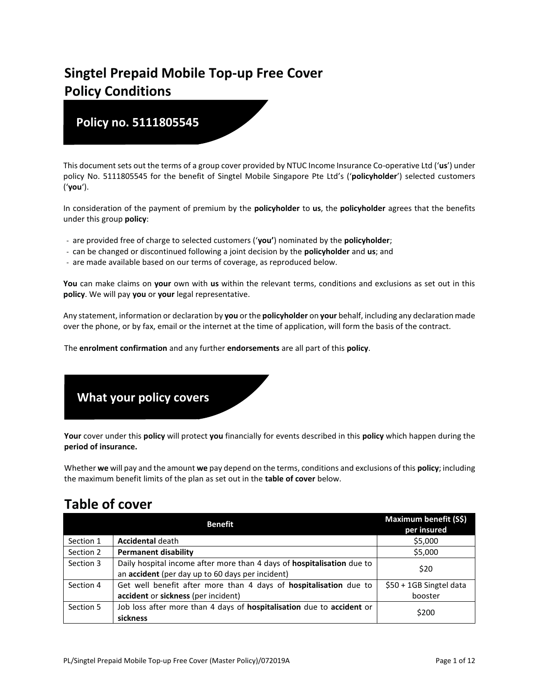# **Singtel Prepaid Mobile Top-up Free Cover Policy Conditions**

# **Policy no. 5111805545**

This document sets out the terms of a group cover provided by NTUC Income Insurance Co-operative Ltd ('**us**') under policy No. 5111805545 for the benefit of Singtel Mobile Singapore Pte Ltd's ('**policyholder**') selected customers ('**you**').

In consideration of the payment of premium by the **policyholder** to **us**, the **policyholder** agrees that the benefits under this group **policy**:

- are provided free of charge to selected customers ('**you'**) nominated by the **policyholder**;
- can be changed or discontinued following a joint decision by the **policyholder** and **us**; and
- are made available based on our terms of coverage, as reproduced below.

**You** can make claims on **your** own with **us** within the relevant terms, conditions and exclusions as set out in this **policy**. We will pay **you** or **your** legal representative.

Any statement, information or declaration by **you** or the **policyholder** on **your** behalf, including any declaration made over the phone, or by fax, email or the internet at the time of application, will form the basis of the contract.

The **enrolment confirmation** and any further **endorsements** are all part of this **policy**.



**Your** cover under this **policy** will protect **you** financially for events described in this **policy** which happen during the **period of insurance.**

Whether **we** will pay and the amount **we** pay depend on the terms, conditions and exclusions of this **policy**; including the maximum benefit limits of the plan as set out in the **table of cover** below.

# **Table of cover**

|           | <b>Benefit</b>                                                                                                             | Maximum benefit (S\$)<br>per insured |
|-----------|----------------------------------------------------------------------------------------------------------------------------|--------------------------------------|
| Section 1 | <b>Accidental death</b>                                                                                                    | \$5,000                              |
| Section 2 | <b>Permanent disability</b>                                                                                                | \$5,000                              |
| Section 3 | Daily hospital income after more than 4 days of hospitalisation due to<br>an accident (per day up to 60 days per incident) | \$20                                 |
| Section 4 | Get well benefit after more than 4 days of hospitalisation due to<br>accident or sickness (per incident)                   | \$50 + 1GB Singtel data<br>booster   |
| Section 5 | Job loss after more than 4 days of hospitalisation due to accident or<br>sickness                                          | \$200                                |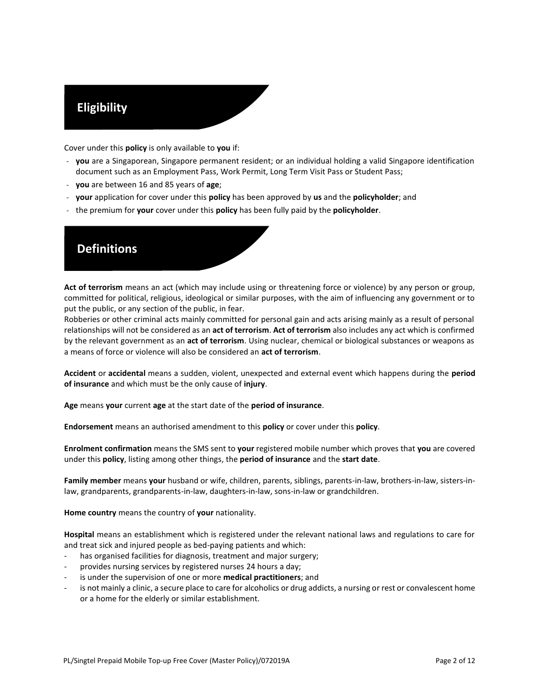# **Eligibility**

Cover under this **policy** is only available to **you** if:

- **you** are a Singaporean, Singapore permanent resident; or an individual holding a valid Singapore identification document such as an Employment Pass, Work Permit, Long Term Visit Pass or Student Pass;
- **you** are between 16 and 85 years of **age**;
- **your** application for cover under this **policy** has been approved by **us** and the **policyholder**; and
- the premium for **your** cover under this **policy** has been fully paid by the **policyholder**.



**Act of terrorism** means an act (which may include using or threatening force or violence) by any person or group, committed for political, religious, ideological or similar purposes, with the aim of influencing any government or to put the public, or any section of the public, in fear.

Robberies or other criminal acts mainly committed for personal gain and acts arising mainly as a result of personal relationships will not be considered as an **act of terrorism**. **Act of terrorism** also includes any act which is confirmed by the relevant government as an **act of terrorism**. Using nuclear, chemical or biological substances or weapons as a means of force or violence will also be considered an **act of terrorism**.

**Accident** or **accidental** means a sudden, violent, unexpected and external event which happens during the **period of insurance** and which must be the only cause of **injury**.

**Age** means **your** current **age** at the start date of the **period of insurance**.

**Endorsement** means an authorised amendment to this **policy** or cover under this **policy**.

**Enrolment confirmation** means the SMS sent to **your** registered mobile number which proves that **you** are covered under this **policy**, listing among other things, the **period of insurance** and the **start date**.

**Family member** means **your** husband or wife, children, parents, siblings, parents-in-law, brothers-in-law, sisters-inlaw, grandparents, grandparents-in-law, daughters-in-law, sons-in-law or grandchildren.

**Home country** means the country of **your** nationality.

**Hospital** means an establishment which is registered under the relevant national laws and regulations to care for and treat sick and injured people as bed-paying patients and which:

- has organised facilities for diagnosis, treatment and major surgery;
- provides nursing services by registered nurses 24 hours a day;
- is under the supervision of one or more **medical practitioners**; and
- is not mainly a clinic, a secure place to care for alcoholics or drug addicts, a nursing or rest or convalescent home or a home for the elderly or similar establishment.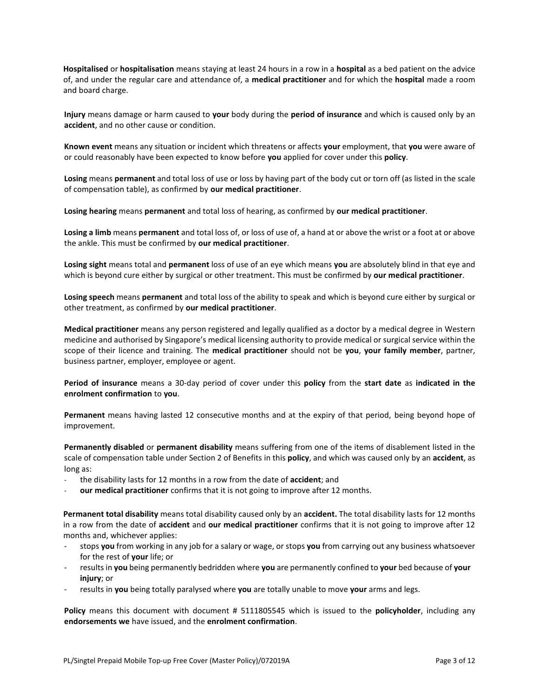**Hospitalised** or **hospitalisation** means staying at least 24 hours in a row in a **hospital** as a bed patient on the advice of, and under the regular care and attendance of, a **medical practitioner** and for which the **hospital** made a room and board charge.

**Injury** means damage or harm caused to **your** body during the **period of insurance** and which is caused only by an **accident**, and no other cause or condition.

**Known event** means any situation or incident which threatens or affects **your** employment, that **you** were aware of or could reasonably have been expected to know before **you** applied for cover under this **policy**.

**Losing** means **permanent** and total loss of use or loss by having part of the body cut or torn off (as listed in the scale of compensation table), as confirmed by **our medical practitioner**.

**Losing hearing** means **permanent** and total loss of hearing, as confirmed by **our medical practitioner**.

**Losing a limb** means **permanent** and total loss of, or loss of use of, a hand at or above the wrist or a foot at or above the ankle. This must be confirmed by **our medical practitioner**.

**Losing sight** means total and **permanent** loss of use of an eye which means **you** are absolutely blind in that eye and which is beyond cure either by surgical or other treatment. This must be confirmed by **our medical practitioner**.

**Losing speech** means **permanent** and total loss of the ability to speak and which is beyond cure either by surgical or other treatment, as confirmed by **our medical practitioner**.

**Medical practitioner** means any person registered and legally qualified as a doctor by a medical degree in Western medicine and authorised by Singapore's medical licensing authority to provide medical or surgical service within the scope of their licence and training. The **medical practitioner** should not be **you**, **your family member**, partner, business partner, employer, employee or agent.

**Period of insurance** means a 30-day period of cover under this **policy** from the **start date** as **indicated in the enrolment confirmation** to **you**.

**Permanent** means having lasted 12 consecutive months and at the expiry of that period, being beyond hope of improvement.

**Permanently disabled** or **permanent disability** means suffering from one of the items of disablement listed in the scale of compensation table under Section 2 of Benefits in this **policy**, and which was caused only by an **accident**, as long as:

- the disability lasts for 12 months in a row from the date of **accident**; and
- **our medical practitioner** confirms that it is not going to improve after 12 months.

**Permanent total disability** means total disability caused only by an **accident.** The total disability lasts for 12 months in a row from the date of **accident** and **our medical practitioner** confirms that it is not going to improve after 12 months and, whichever applies:

- stops **you** from working in any job for a salary or wage, or stops **you** from carrying out any business whatsoever for the rest of **your** life; or
- results in **you** being permanently bedridden where **you** are permanently confined to **your** bed because of **your injury**; or
- results in **you** being totally paralysed where **you** are totally unable to move **your** arms and legs.

**Policy** means this document with document # 5111805545 which is issued to the **policyholder**, including any **endorsements we** have issued, and the **enrolment confirmation**.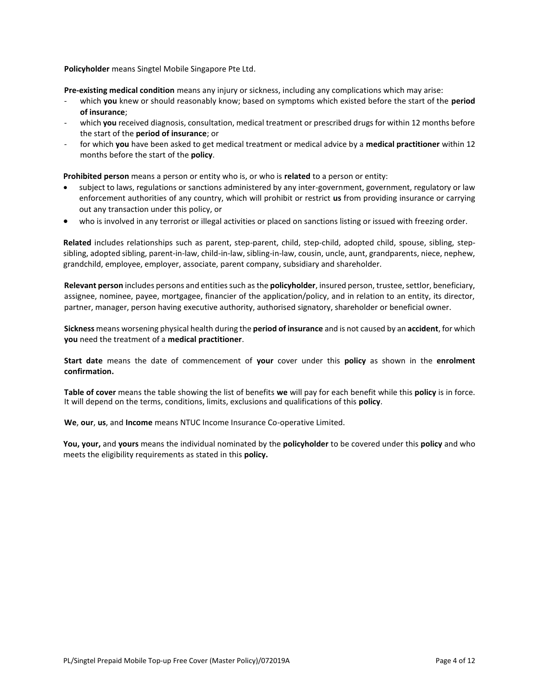**Policyholder** means Singtel Mobile Singapore Pte Ltd.

**Pre-existing medical condition** means any injury or sickness, including any complications which may arise:

- which **you** knew or should reasonably know; based on symptoms which existed before the start of the **period of insurance**;
- which **you** received diagnosis, consultation, medical treatment or prescribed drugs for within 12 months before the start of the **period of insurance**; or
- for which **you** have been asked to get medical treatment or medical advice by a **medical practitioner** within 12 months before the start of the **policy**.

**Prohibited person** means a person or entity who is, or who is **related** to a person or entity:

- subject to laws, regulations or sanctions administered by any inter-government, government, regulatory or law enforcement authorities of any country, which will prohibit or restrict **us** from providing insurance or carrying out any transaction under this policy, or
- who is involved in any terrorist or illegal activities or placed on sanctions listing or issued with freezing order.

**Related** includes relationships such as parent, step-parent, child, step-child, adopted child, spouse, sibling, stepsibling, adopted sibling, parent-in-law, child-in-law, sibling-in-law, cousin, uncle, aunt, grandparents, niece, nephew, grandchild, employee, employer, associate, parent company, subsidiary and shareholder.

**Relevant person** includes persons and entities such as the **policyholder**, insured person, trustee, settlor, beneficiary, assignee, nominee, payee, mortgagee, financier of the application/policy, and in relation to an entity, its director, partner, manager, person having executive authority, authorised signatory, shareholder or beneficial owner.

**Sickness** means worsening physical health during the **period of insurance** and is not caused by an **accident**, for which **you** need the treatment of a **medical practitioner**.

**Start date** means the date of commencement of **your** cover under this **policy** as shown in the **enrolment confirmation.**

**Table of cover** means the table showing the list of benefits **we** will pay for each benefit while this **policy** is in force. It will depend on the terms, conditions, limits, exclusions and qualifications of this **policy**.

**We**, **our**, **us**, and **Income** means NTUC Income Insurance Co-operative Limited.

**You, your,** and **yours** means the individual nominated by the **policyholder** to be covered under this **policy** and who meets the eligibility requirements as stated in this **policy.**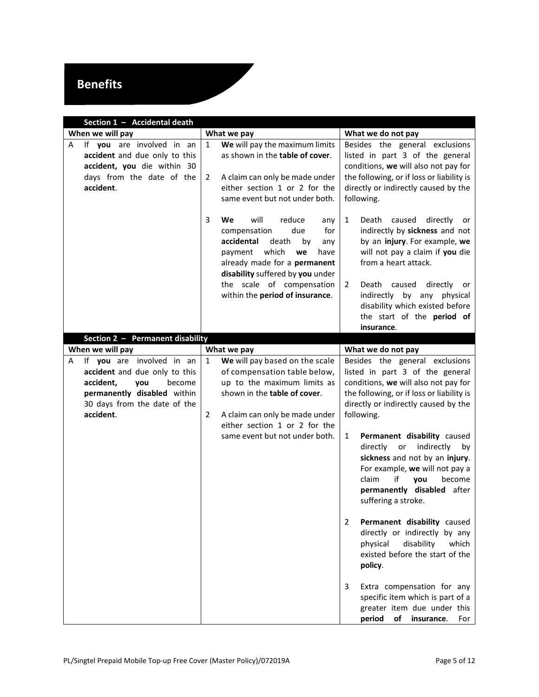# **Benefits**

<span id="page-4-1"></span><span id="page-4-0"></span>

| Section 1 - Accidental death                                                                                                             |                                                                                                                                                                                                                                                                          |                                                                                                                                                                                                                                                                                                                                        |  |  |
|------------------------------------------------------------------------------------------------------------------------------------------|--------------------------------------------------------------------------------------------------------------------------------------------------------------------------------------------------------------------------------------------------------------------------|----------------------------------------------------------------------------------------------------------------------------------------------------------------------------------------------------------------------------------------------------------------------------------------------------------------------------------------|--|--|
| When we will pay                                                                                                                         | What we pay                                                                                                                                                                                                                                                              | What we do not pay                                                                                                                                                                                                                                                                                                                     |  |  |
| If you are involved in an<br>Α<br>accident and due only to this<br>accident, you die within 30<br>days from the date of the<br>accident. | We will pay the maximum limits<br>1<br>as shown in the table of cover.<br>A claim can only be made under<br>2<br>either section 1 or 2 for the<br>same event but not under both.                                                                                         | Besides the general exclusions<br>listed in part 3 of the general<br>conditions, we will also not pay for<br>the following, or if loss or liability is<br>directly or indirectly caused by the<br>following.                                                                                                                           |  |  |
|                                                                                                                                          | 3<br>will<br>We<br>reduce<br>any<br>compensation<br>due<br>for<br>accidental<br>death<br>by<br>any<br>which<br>payment<br>we<br>have<br>already made for a permanent<br>disability suffered by you under<br>the scale of compensation<br>within the period of insurance. | $\mathbf{1}$<br>Death<br>caused<br>directly<br>or<br>indirectly by sickness and not<br>by an injury. For example, we<br>will not pay a claim if you die<br>from a heart attack.<br>Death<br>caused<br>directly<br>2<br>or<br>indirectly by any physical<br>disability which existed before<br>the start of the period of<br>insurance. |  |  |
| Section 2 - Permanent disability                                                                                                         |                                                                                                                                                                                                                                                                          |                                                                                                                                                                                                                                                                                                                                        |  |  |
| When we will pay<br>If you are involved in an<br>Α                                                                                       | What we pay<br>We will pay based on the scale<br>$\mathbf{1}$                                                                                                                                                                                                            | What we do not pay<br>Besides the general exclusions                                                                                                                                                                                                                                                                                   |  |  |
| accident and due only to this<br>accident,<br>you<br>become<br>permanently disabled within<br>30 days from the date of the<br>accident.  | of compensation table below,<br>up to the maximum limits as<br>shown in the table of cover.<br>A claim can only be made under<br>2<br>either section 1 or 2 for the                                                                                                      | listed in part 3 of the general<br>conditions, we will also not pay for<br>the following, or if loss or liability is<br>directly or indirectly caused by the<br>following.                                                                                                                                                             |  |  |
|                                                                                                                                          | same event but not under both.                                                                                                                                                                                                                                           | 1<br>Permanent disability caused<br>indirectly<br>directly<br>or<br>by<br>sickness and not by an injury.<br>For example, we will not pay a<br>if<br>become<br>claim<br>vou<br>permanently disabled after<br>suffering a stroke.                                                                                                        |  |  |
|                                                                                                                                          |                                                                                                                                                                                                                                                                          | Permanent disability caused<br>2<br>directly or indirectly by any<br>physical<br>disability<br>which<br>existed before the start of the<br>policy.                                                                                                                                                                                     |  |  |
|                                                                                                                                          |                                                                                                                                                                                                                                                                          | Extra compensation for any<br>3<br>specific item which is part of a<br>greater item due under this<br>period<br>of<br>insurance.<br>For                                                                                                                                                                                                |  |  |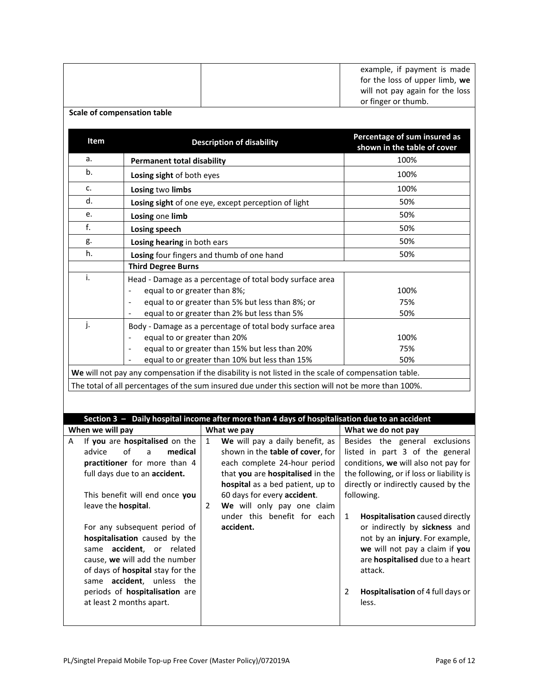<span id="page-5-0"></span>

| <b>Scale of compensation table</b> |                                                                                                                                                                                                                                                                                                                                                                                     |                                                                                                                                                                                                                                                                                                                                                                                                                                                                                                                                            | example, if payment is made<br>for the loss of upper limb, we<br>will not pay again for the loss<br>or finger or thumb.                                                                                                                                                                                                                                                                                                             |
|------------------------------------|-------------------------------------------------------------------------------------------------------------------------------------------------------------------------------------------------------------------------------------------------------------------------------------------------------------------------------------------------------------------------------------|--------------------------------------------------------------------------------------------------------------------------------------------------------------------------------------------------------------------------------------------------------------------------------------------------------------------------------------------------------------------------------------------------------------------------------------------------------------------------------------------------------------------------------------------|-------------------------------------------------------------------------------------------------------------------------------------------------------------------------------------------------------------------------------------------------------------------------------------------------------------------------------------------------------------------------------------------------------------------------------------|
| Item                               |                                                                                                                                                                                                                                                                                                                                                                                     | <b>Description of disability</b>                                                                                                                                                                                                                                                                                                                                                                                                                                                                                                           | Percentage of sum insured as<br>shown in the table of cover                                                                                                                                                                                                                                                                                                                                                                         |
| a.                                 | <b>Permanent total disability</b>                                                                                                                                                                                                                                                                                                                                                   |                                                                                                                                                                                                                                                                                                                                                                                                                                                                                                                                            | 100%                                                                                                                                                                                                                                                                                                                                                                                                                                |
| b.                                 | Losing sight of both eyes                                                                                                                                                                                                                                                                                                                                                           |                                                                                                                                                                                                                                                                                                                                                                                                                                                                                                                                            | 100%                                                                                                                                                                                                                                                                                                                                                                                                                                |
| c.                                 | Losing two limbs                                                                                                                                                                                                                                                                                                                                                                    |                                                                                                                                                                                                                                                                                                                                                                                                                                                                                                                                            | 100%                                                                                                                                                                                                                                                                                                                                                                                                                                |
| d.                                 |                                                                                                                                                                                                                                                                                                                                                                                     | Losing sight of one eye, except perception of light                                                                                                                                                                                                                                                                                                                                                                                                                                                                                        | 50%                                                                                                                                                                                                                                                                                                                                                                                                                                 |
| e.                                 | Losing one limb                                                                                                                                                                                                                                                                                                                                                                     |                                                                                                                                                                                                                                                                                                                                                                                                                                                                                                                                            | 50%                                                                                                                                                                                                                                                                                                                                                                                                                                 |
| f.                                 | <b>Losing speech</b>                                                                                                                                                                                                                                                                                                                                                                |                                                                                                                                                                                                                                                                                                                                                                                                                                                                                                                                            | 50%                                                                                                                                                                                                                                                                                                                                                                                                                                 |
| g.                                 | Losing hearing in both ears                                                                                                                                                                                                                                                                                                                                                         |                                                                                                                                                                                                                                                                                                                                                                                                                                                                                                                                            | 50%                                                                                                                                                                                                                                                                                                                                                                                                                                 |
| h.                                 |                                                                                                                                                                                                                                                                                                                                                                                     | Losing four fingers and thumb of one hand                                                                                                                                                                                                                                                                                                                                                                                                                                                                                                  | 50%                                                                                                                                                                                                                                                                                                                                                                                                                                 |
| i.<br>j.                           | <b>Third Degree Burns</b><br>equal to or greater than 8%;<br>$\qquad \qquad \blacksquare$<br>$\qquad \qquad \blacksquare$<br>equal to or greater than 20%                                                                                                                                                                                                                           | Head - Damage as a percentage of total body surface area<br>equal to or greater than 5% but less than 8%; or<br>equal to or greater than 2% but less than 5%<br>Body - Damage as a percentage of total body surface area<br>equal to or greater than 15% but less than 20%<br>equal to or greater than 10% but less than 15%<br>We will not pay any compensation if the disability is not listed in the scale of compensation table.<br>The total of all percentages of the sum insured due under this section will not be more than 100%. | 100%<br>75%<br>50%<br>100%<br>75%<br>50%                                                                                                                                                                                                                                                                                                                                                                                            |
|                                    |                                                                                                                                                                                                                                                                                                                                                                                     | Section 3 - Daily hospital income after more than 4 days of hospitalisation due to an accident                                                                                                                                                                                                                                                                                                                                                                                                                                             |                                                                                                                                                                                                                                                                                                                                                                                                                                     |
| When we will pay<br>Α              | If you are hospitalised on the                                                                                                                                                                                                                                                                                                                                                      | What we pay<br>We will pay a daily benefit, as<br>$\mathbf{1}$                                                                                                                                                                                                                                                                                                                                                                                                                                                                             | What we do not pay<br>Besides the general exclusions                                                                                                                                                                                                                                                                                                                                                                                |
| advice<br>leave the hospital.      | of<br>medical<br>a<br>practitioner for more than 4<br>full days due to an accident.<br>This benefit will end once you<br>For any subsequent period of<br>hospitalisation caused by the<br>same accident, or related<br>cause, we will add the number<br>of days of hospital stay for the<br>same accident, unless the<br>periods of hospitalisation are<br>at least 2 months apart. | shown in the table of cover, for<br>each complete 24-hour period<br>that you are hospitalised in the<br>hospital as a bed patient, up to<br>60 days for every accident.<br>We will only pay one claim<br>2<br>under this benefit for each<br>accident.                                                                                                                                                                                                                                                                                     | listed in part 3 of the general<br>conditions, we will also not pay for<br>the following, or if loss or liability is<br>directly or indirectly caused by the<br>following.<br>$\mathbf{1}$<br>Hospitalisation caused directly<br>or indirectly by sickness and<br>not by an injury. For example,<br>we will not pay a claim if you<br>are hospitalised due to a heart<br>attack.<br>Hospitalisation of 4 full days or<br>2<br>less. |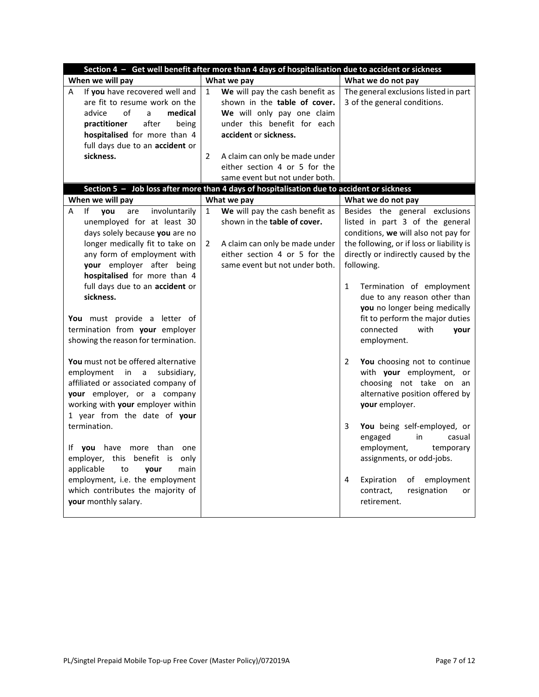<span id="page-6-1"></span><span id="page-6-0"></span>

| Section 4 - Get well benefit after more than 4 days of hospitalisation due to accident or sickness                                                                                                                                                                                                                                                                                                 |                                                                                                                                                                                                                                                                                              |                                                                                                                                                                                                                                                                                                                                                                                                                |
|----------------------------------------------------------------------------------------------------------------------------------------------------------------------------------------------------------------------------------------------------------------------------------------------------------------------------------------------------------------------------------------------------|----------------------------------------------------------------------------------------------------------------------------------------------------------------------------------------------------------------------------------------------------------------------------------------------|----------------------------------------------------------------------------------------------------------------------------------------------------------------------------------------------------------------------------------------------------------------------------------------------------------------------------------------------------------------------------------------------------------------|
| When we will pay                                                                                                                                                                                                                                                                                                                                                                                   | What we pay                                                                                                                                                                                                                                                                                  | What we do not pay                                                                                                                                                                                                                                                                                                                                                                                             |
| If you have recovered well and<br>Α<br>are fit to resume work on the<br>of<br>advice<br>medical<br>a<br>after<br>practitioner<br>being<br>hospitalised for more than 4<br>full days due to an accident or<br>sickness.                                                                                                                                                                             | We will pay the cash benefit as<br>$\mathbf{1}$<br>shown in the table of cover.<br>We will only pay one claim<br>under this benefit for each<br>accident or sickness.<br>$\overline{2}$<br>A claim can only be made under<br>either section 4 or 5 for the<br>same event but not under both. | The general exclusions listed in part<br>3 of the general conditions.                                                                                                                                                                                                                                                                                                                                          |
| When we will pay                                                                                                                                                                                                                                                                                                                                                                                   | Section 5 - Job loss after more than 4 days of hospitalisation due to accident or sickness<br>What we pay                                                                                                                                                                                    | What we do not pay                                                                                                                                                                                                                                                                                                                                                                                             |
| unemployed for at least 30<br>days solely because you are no<br>longer medically fit to take on<br>any form of employment with<br>your employer after being<br>hospitalised for more than 4<br>full days due to an accident or<br>sickness.<br>You must provide a letter of<br>termination from your employer<br>showing the reason for termination.<br>You must not be offered alternative        | shown in the table of cover.<br>$\overline{2}$<br>A claim can only be made under<br>either section 4 or 5 for the<br>same event but not under both.                                                                                                                                          | listed in part 3 of the general<br>conditions, we will also not pay for<br>the following, or if loss or liability is<br>directly or indirectly caused by the<br>following.<br>Termination of employment<br>1<br>due to any reason other than<br>you no longer being medically<br>fit to perform the major duties<br>connected<br>with<br>your<br>employment.<br>$\overline{2}$<br>You choosing not to continue |
| employment<br>subsidiary,<br>in<br>a<br>affiliated or associated company of<br>your employer, or a company<br>working with your employer within<br>1 year from the date of your<br>termination.<br>If you have more than one<br>employer, this benefit is only<br>applicable<br>main<br>to<br>vour<br>employment, i.e. the employment<br>which contributes the majority of<br>your monthly salary. |                                                                                                                                                                                                                                                                                              | with your employment, or<br>choosing not take on an<br>alternative position offered by<br>your employer.<br>3<br>You being self-employed, or<br>engaged<br>in<br>casual<br>employment,<br>temporary<br>assignments, or odd-jobs.<br>Expiration<br>employment<br>4<br>of<br>resignation<br>contract,<br>or<br>retirement.                                                                                       |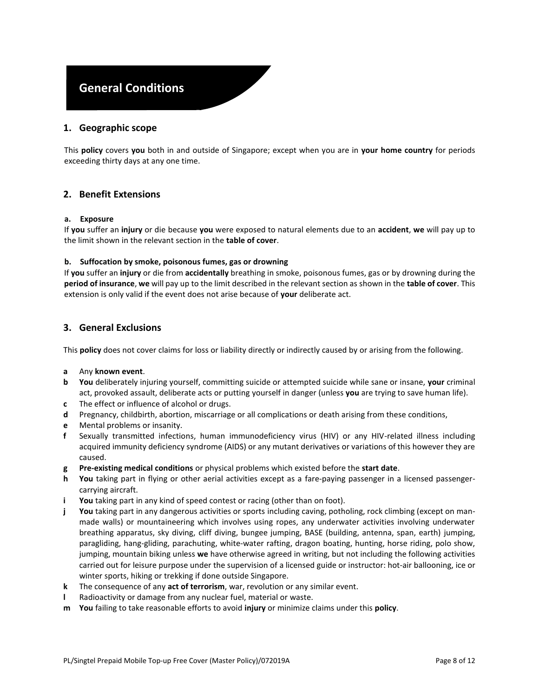# **General Conditions**

### **1. Geographic scope**

This **policy** covers **you** both in and outside of Singapore; except when you are in **your home country** for periods exceeding thirty days at any one time.

### **2. Benefit Extensions**

#### **a. Exposure**

If **you** suffer an **injury** or die because **you** were exposed to natural elements due to an **accident**, **we** will pay up to the limit shown in the relevant section in the **table of cover**.

#### **b. Suffocation by smoke, poisonous fumes, gas or drowning**

If **you** suffer an **injury** or die from **accidentally** breathing in smoke, poisonous fumes, gas or by drowning during the **period of insurance**, **we** will pay up to the limit described in the relevant section as shown in the **table of cover**. This extension is only valid if the event does not arise because of **your** deliberate act.

#### <span id="page-7-0"></span>**3. General Exclusions**

This **policy** does not cover claims for loss or liability directly or indirectly caused by or arising from the following.

#### **a** Any **known event**.

- **b You** deliberately injuring yourself, committing suicide or attempted suicide while sane or insane, **your** criminal act, provoked assault, deliberate acts or putting yourself in danger (unless **you** are trying to save human life).
- **c** The effect or influence of alcohol or drugs.
- **d** Pregnancy, childbirth, abortion, miscarriage or all complications or death arising from these conditions,
- **e** Mental problems or insanity.
- **f** Sexually transmitted infections, human immunodeficiency virus (HIV) or any HIV-related illness including acquired immunity deficiency syndrome (AIDS) or any mutant derivatives or variations of this however they are caused.
- **g Pre-existing medical conditions** or physical problems which existed before the **start date**.
- **h You** taking part in flying or other aerial activities except as a fare-paying passenger in a licensed passengercarrying aircraft.
- **i You** taking part in any kind of speed contest or racing (other than on foot).
- **j You** taking part in any dangerous activities or sports including caving, potholing, rock climbing (except on manmade walls) or mountaineering which involves using ropes, any underwater activities involving underwater breathing apparatus, sky diving, cliff diving, bungee jumping, BASE (building, antenna, span, earth) jumping, paragliding, hang-gliding, parachuting, white-water rafting, dragon boating, hunting, horse riding, polo show, jumping, mountain biking unless **we** have otherwise agreed in writing, but not including the following activities carried out for leisure purpose under the supervision of a licensed guide or instructor: hot-air ballooning, ice or winter sports, hiking or trekking if done outside Singapore.
- **k** The consequence of any **act of terrorism**, war, revolution or any similar event.
- **l** Radioactivity or damage from any nuclear fuel, material or waste.
- **m You** failing to take reasonable efforts to avoid **injury** or minimize claims under this **policy**.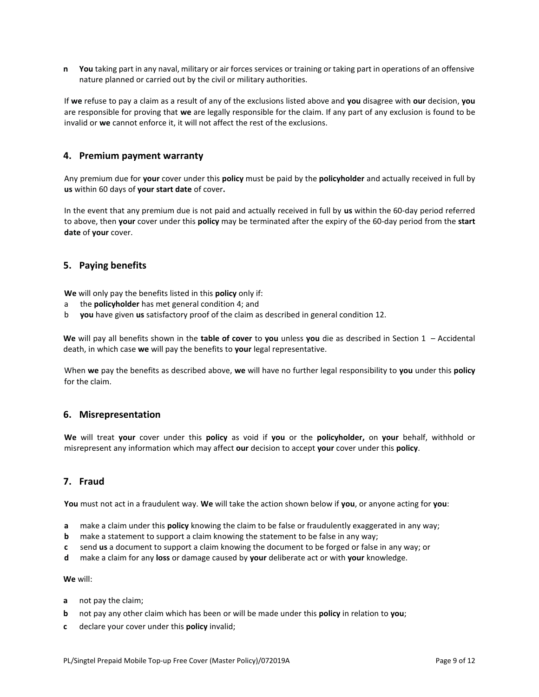**n You** taking part in any naval, military or air forces services or training or taking part in operations of an offensive nature planned or carried out by the civil or military authorities.

If **we** refuse to pay a claim as a result of any of the exclusions listed above and **you** disagree with **our** decision, **you**  are responsible for proving that **we** are legally responsible for the claim. If any part of any exclusion is found to be invalid or **we** cannot enforce it, it will not affect the rest of the exclusions.

#### <span id="page-8-0"></span>**4. Premium payment warranty**

Any premium due for **your** cover under this **policy** must be paid by the **policyholder** and actually received in full by **us** within 60 days of **your start date** of cover**.** 

In the event that any premium due is not paid and actually received in full by **us** within the 60-day period referred to above, then **your** cover under this **policy** may be terminated after the expiry of the 60-day period from the **start date** of **your** cover.

### **5. Paying benefits**

**We** will only pay the benefits listed in this **policy** only if:

- a the **policyholder** has met general condition [4;](#page-8-0) and
- b **you** have given **us** satisfactory proof of the claim as described in general conditio[n 12.](#page-9-0)

**We** will pay all benefits shown in the **table of cover** to **you** unless **you** die as described in [Section 1](#page-4-0) – [Accidental](#page-4-0)  [death,](#page-4-0) in which case **we** will pay the benefits to **your** legal representative.

When **we** pay the benefits as described above, **we** will have no further legal responsibility to **you** under this **policy** for the claim.

#### <span id="page-8-1"></span>**6. Misrepresentation**

**We** will treat **your** cover under this **policy** as void if **you** or the **policyholder,** on **your** behalf, withhold or misrepresent any information which may affect **our** decision to accept **your** cover under this **policy**.

# <span id="page-8-2"></span>**7. Fraud**

**You** must not act in a fraudulent way. **We** will take the action shown below if **you**, or anyone acting for **you**:

- **a** make a claim under this **policy** knowing the claim to be false or fraudulently exaggerated in any way;
- **b** make a statement to support a claim knowing the statement to be false in any way;
- **c** send **us** a document to support a claim knowing the document to be forged or false in any way; or
- **d** make a claim for any **loss** or damage caused by **your** deliberate act or with **your** knowledge.

#### **We** will:

- **a** not pay the claim;
- **b** not pay any other claim which has been or will be made under this **policy** in relation to **you**;
- **c** declare your cover under this **policy** invalid;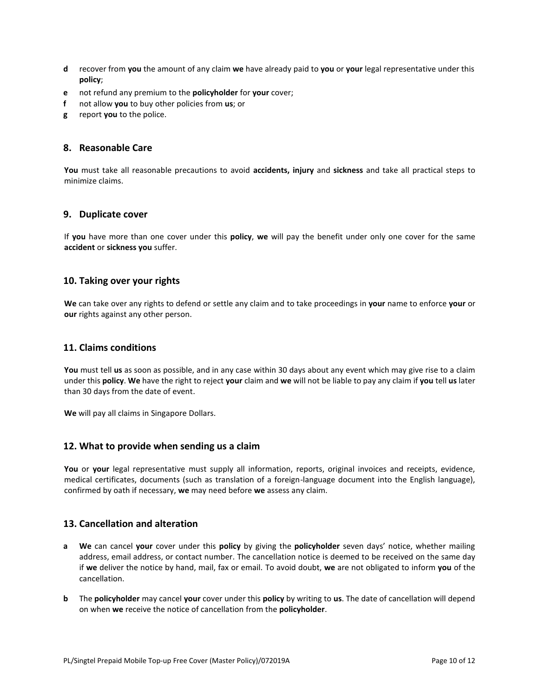- **d** recover from **you** the amount of any claim **we** have already paid to **you** or **your** legal representative under this **policy**;
- **e** not refund any premium to the **policyholder** for **your** cover;
- **f** not allow **you** to buy other policies from **us**; or
- **g** report **you** to the police.

#### **8. Reasonable Care**

**You** must take all reasonable precautions to avoid **accidents, injury** and **sickness** and take all practical steps to minimize claims.

#### **9. Duplicate cover**

If **you** have more than one cover under this **policy**, **we** will pay the benefit under only one cover for the same **accident** or **sickness you** suffer.

### **10. Taking over your rights**

**We** can take over any rights to defend or settle any claim and to take proceedings in **your** name to enforce **your** or **our** rights against any other person.

### **11. Claims conditions**

**You** must tell **us** as soon as possible, and in any case within 30 days about any event which may give rise to a claim under this **policy**. **We** have the right to reject **your** claim and **we** will not be liable to pay any claim if **you** tell **us** later than 30 days from the date of event.

**We** will pay all claims in Singapore Dollars.

#### <span id="page-9-0"></span>**12. What to provide when sending us a claim**

**You** or **your** legal representative must supply all information, reports, original invoices and receipts, evidence, medical certificates, documents (such as translation of a foreign-language document into the English language), confirmed by oath if necessary, **we** may need before **we** assess any claim.

## <span id="page-9-1"></span>**13. Cancellation and alteration**

- **a We** can cancel **your** cover under this **policy** by giving the **policyholder** seven days' notice, whether mailing address, email address, or contact number. The cancellation notice is deemed to be received on the same day if **we** deliver the notice by hand, mail, fax or email. To avoid doubt, **we** are not obligated to inform **you** of the cancellation.
- **b** The **policyholder** may cancel **your** cover under this **policy** by writing to **us**. The date of cancellation will depend on when **we** receive the notice of cancellation from the **policyholder**.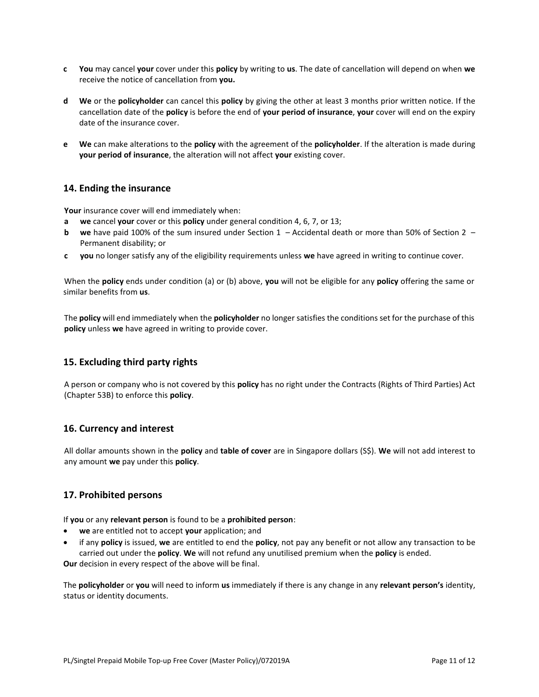- **c You** may cancel **your** cover under this **policy** by writing to **us**. The date of cancellation will depend on when **we**  receive the notice of cancellation from **you.**
- **d We** or the **policyholder** can cancel this **policy** by giving the other at least 3 months prior written notice. If the cancellation date of the **policy** is before the end of **your period of insurance**, **your** cover will end on the expiry date of the insurance cover.
- **e We** can make alterations to the **policy** with the agreement of the **policyholder**. If the alteration is made during **your period of insurance**, the alteration will not affect **your** existing cover.

### **14. Ending the insurance**

**Your** insurance cover will end immediately when:

- **a we** cancel **your** cover or this **policy** under general conditio[n 4,](#page-8-0) [6,](#page-8-1) [7,](#page-8-2) o[r 13;](#page-9-1)
- **b we** have paid 100% of the sum insured under [Section 1](#page-4-0)  [Accidental death](#page-4-0) or more than 50% of [Section 2](#page-4-1)  [Permanent disability;](#page-4-1) or
- **c you** no longer satisfy any of the eligibility requirements unless **we** have agreed in writing to continue cover.

When the **policy** ends under condition (a) or (b) above, **you** will not be eligible for any **policy** offering the same or similar benefits from **us**.

The **policy** will end immediately when the **policyholder** no longer satisfies the conditions set for the purchase of this **policy** unless **we** have agreed in writing to provide cover.

## **15. Excluding third party rights**

A person or company who is not covered by this **policy** has no right under the Contracts (Rights of Third Parties) Act (Chapter 53B) to enforce this **policy**.

## **16. Currency and interest**

All dollar amounts shown in the **policy** and **table of cover** are in Singapore dollars (S\$). **We** will not add interest to any amount **we** pay under this **policy**.

#### **17. Prohibited persons**

If **you** or any **relevant person** is found to be a **prohibited person**:

- **we** are entitled not to accept **your** application; and
- if any **policy** is issued, **we** are entitled to end the **policy**, not pay any benefit or not allow any transaction to be carried out under the **policy**. **We** will not refund any unutilised premium when the **policy** is ended.

**Our** decision in every respect of the above will be final.

The **policyholder** or **you** will need to inform **us** immediately if there is any change in any **relevant person's** identity, status or identity documents.